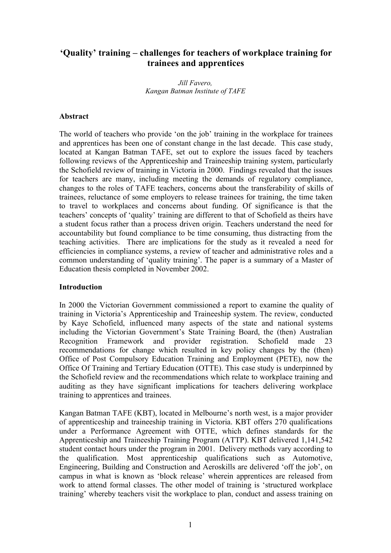# **'Quality' training – challenges for teachers of workplace training for trainees and apprentices**

*Jill Favero, Kangan Batman Institute of TAFE*

#### **Abstract**

The world of teachers who provide 'on the job' training in the workplace for trainees and apprentices has been one of constant change in the last decade. This case study, located at Kangan Batman TAFE, set out to explore the issues faced by teachers following reviews of the Apprenticeship and Traineeship training system, particularly the Schofield review of training in Victoria in 2000. Findings revealed that the issues for teachers are many, including meeting the demands of regulatory compliance, changes to the roles of TAFE teachers, concerns about the transferability of skills of trainees, reluctance of some employers to release trainees for training, the time taken to travel to workplaces and concerns about funding. Of significance is that the teachers' concepts of 'quality' training are different to that of Schofield as theirs have a student focus rather than a process driven origin. Teachers understand the need for accountability but found compliance to be time consuming, thus distracting from the teaching activities. There are implications for the study as it revealed a need for efficiencies in compliance systems, a review of teacher and administrative roles and a common understanding of 'quality training'. The paper is a summary of a Master of Education thesis completed in November 2002.

#### **Introduction**

In 2000 the Victorian Government commissioned a report to examine the quality of training in Victoria's Apprenticeship and Traineeship system. The review, conducted by Kaye Schofield, influenced many aspects of the state and national systems including the Victorian Government's State Training Board, the (then) Australian Recognition Framework and provider registration. Schofield made 23 recommendations for change which resulted in key policy changes by the (then) Office of Post Compulsory Education Training and Employment (PETE), now the Office Of Training and Tertiary Education (OTTE). This case study is underpinned by the Schofield review and the recommendations which relate to workplace training and auditing as they have significant implications for teachers delivering workplace training to apprentices and trainees.

Kangan Batman TAFE (KBT), located in Melbourne's north west, is a major provider of apprenticeship and traineeship training in Victoria. KBT offers 270 qualifications under a Performance Agreement with OTTE, which defines standards for the Apprenticeship and Traineeship Training Program (ATTP). KBT delivered 1,141,542 student contact hours under the program in 2001. Delivery methods vary according to the qualification. Most apprenticeship qualifications such as Automotive, Engineering, Building and Construction and Aeroskills are delivered 'off the job', on campus in what is known as 'block release' wherein apprentices are released from work to attend formal classes. The other model of training is 'structured workplace training' whereby teachers visit the workplace to plan, conduct and assess training on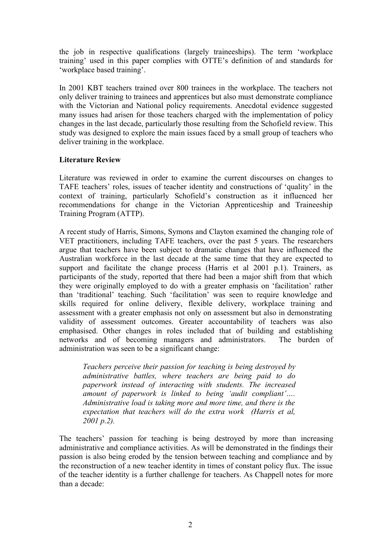the job in respective qualifications (largely traineeships). The term 'workplace training' used in this paper complies with OTTE's definition of and standards for 'workplace based training'.

In 2001 KBT teachers trained over 800 trainees in the workplace. The teachers not only deliver training to trainees and apprentices but also must demonstrate compliance with the Victorian and National policy requirements. Anecdotal evidence suggested many issues had arisen for those teachers charged with the implementation of policy changes in the last decade, particularly those resulting from the Schofield review. This study was designed to explore the main issues faced by a small group of teachers who deliver training in the workplace.

# **Literature Review**

Literature was reviewed in order to examine the current discourses on changes to TAFE teachers' roles, issues of teacher identity and constructions of 'quality' in the context of training, particularly Schofield's construction as it influenced her recommendations for change in the Victorian Apprenticeship and Traineeship Training Program (ATTP).

A recent study of Harris, Simons, Symons and Clayton examined the changing role of VET practitioners, including TAFE teachers, over the past 5 years. The researchers argue that teachers have been subject to dramatic changes that have influenced the Australian workforce in the last decade at the same time that they are expected to support and facilitate the change process (Harris et al 2001 p.1). Trainers, as participants of the study, reported that there had been a major shift from that which they were originally employed to do with a greater emphasis on 'facilitation' rather than 'traditional' teaching. Such 'facilitation' was seen to require knowledge and skills required for online delivery, flexible delivery, workplace training and assessment with a greater emphasis not only on assessment but also in demonstrating validity of assessment outcomes. Greater accountability of teachers was also emphasised. Other changes in roles included that of building and establishing networks and of becoming managers and administrators. The burden of administration was seen to be a significant change:

*Teachers perceive their passion for teaching is being destroyed by administrative battles, where teachers are being paid to do paperwork instead of interacting with students. The increased amount of paperwork is linked to being 'audit compliant'…. Administrative load is taking more and more time, and there is the expectation that teachers will do the extra work (Harris et al, 2001 p.2).*

The teachers' passion for teaching is being destroyed by more than increasing administrative and compliance activities. As will be demonstrated in the findings their passion is also being eroded by the tension between teaching and compliance and by the reconstruction of a new teacher identity in times of constant policy flux. The issue of the teacher identity is a further challenge for teachers. As Chappell notes for more than a decade: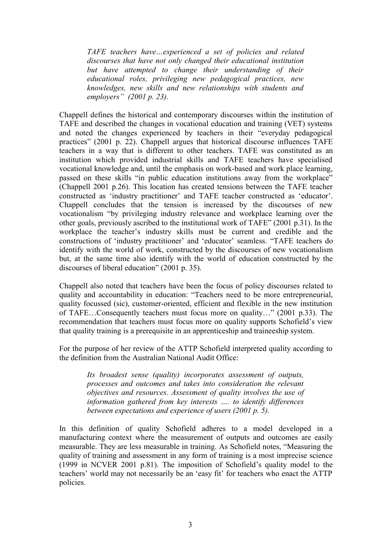*TAFE teachers have…experienced a set of policies and related discourses that have not only changed their educational institution but have attempted to change their understanding of their educational roles, privileging new pedagogical practices, new knowledges, new skills and new relationships with students and employers" (2001 p. 23).* 

Chappell defines the historical and contemporary discourses within the institution of TAFE and described the changes in vocational education and training (VET) systems and noted the changes experienced by teachers in their "everyday pedagogical practices" (2001 p. 22). Chappell argues that historical discourse influences TAFE teachers in a way that is different to other teachers. TAFE was constituted as an institution which provided industrial skills and TAFE teachers have specialised vocational knowledge and, until the emphasis on work-based and work place learning, passed on these skills "in public education institutions away from the workplace" (Chappell 2001 p.26). This location has created tensions between the TAFE teacher constructed as 'industry practitioner' and TAFE teacher constructed as 'educator'. Chappell concludes that the tension is increased by the discourses of new vocationalism "by privileging industry relevance and workplace learning over the other goals, previously ascribed to the institutional work of TAFE" (2001 p.31). In the workplace the teacher's industry skills must be current and credible and the constructions of 'industry practitioner' and 'educator' seamless. "TAFE teachers do identify with the world of work, constructed by the discourses of new vocationalism but, at the same time also identify with the world of education constructed by the discourses of liberal education" (2001 p. 35).

Chappell also noted that teachers have been the focus of policy discourses related to quality and accountability in education: "Teachers need to be more entrepreneurial, quality focussed (sic), customer-oriented, efficient and flexible in the new institution of TAFE…Consequently teachers must focus more on quality…" (2001 p.33). The recommendation that teachers must focus more on quality supports Schofield's view that quality training is a prerequisite in an apprenticeship and traineeship system.

For the purpose of her review of the ATTP Schofield interpreted quality according to the definition from the Australian National Audit Office:

*Its broadest sense (quality) incorporates assessment of outputs, processes and outcomes and takes into consideration the relevant objectives and resources. Assessment of quality involves the use of information gathered from key interests …. to identify differences between expectations and experience of users (2001 p. 5).* 

In this definition of quality Schofield adheres to a model developed in a manufacturing context where the measurement of outputs and outcomes are easily measurable. They are less measurable in training. As Schofield notes, "Measuring the quality of training and assessment in any form of training is a most imprecise science (1999 in NCVER 2001 p.81). The imposition of Schofield's quality model to the teachers' world may not necessarily be an 'easy fit' for teachers who enact the ATTP policies.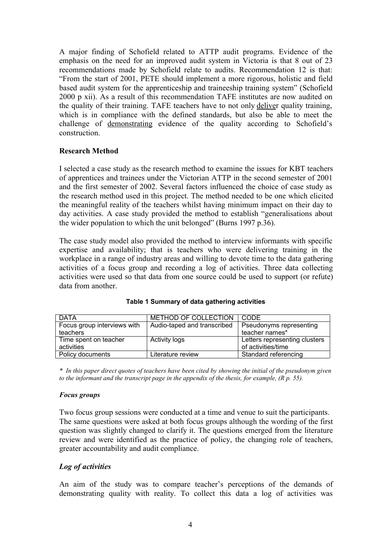A major finding of Schofield related to ATTP audit programs. Evidence of the emphasis on the need for an improved audit system in Victoria is that 8 out of 23 recommendations made by Schofield relate to audits. Recommendation 12 is that: "From the start of 2001, PETE should implement a more rigorous, holistic and field based audit system for the apprenticeship and traineeship training system" (Schofield 2000 p xii). As a result of this recommendation TAFE institutes are now audited on the quality of their training. TAFE teachers have to not only deliver quality training, which is in compliance with the defined standards, but also be able to meet the challenge of demonstrating evidence of the quality according to Schofield's construction.

### **Research Method**

I selected a case study as the research method to examine the issues for KBT teachers of apprentices and trainees under the Victorian ATTP in the second semester of 2001 and the first semester of 2002. Several factors influenced the choice of case study as the research method used in this project. The method needed to be one which elicited the meaningful reality of the teachers whilst having minimum impact on their day to day activities. A case study provided the method to establish "generalisations about the wider population to which the unit belonged" (Burns 1997 p.36).

The case study model also provided the method to interview informants with specific expertise and availability; that is teachers who were delivering training in the workplace in a range of industry areas and willing to devote time to the data gathering activities of a focus group and recording a log of activities. Three data collecting activities were used so that data from one source could be used to support (or refute) data from another.

| <b>DATA</b>                 | METHOD OF COLLECTION        | CODE                          |
|-----------------------------|-----------------------------|-------------------------------|
|                             |                             |                               |
| Focus group interviews with | Audio-taped and transcribed | Pseudonyms representing       |
| teachers                    |                             | teacher names*                |
| Time spent on teacher       | <b>Activity logs</b>        | Letters representing clusters |
| activities                  |                             | of activities/time            |
| Policy documents            | Literature review           | Standard referencing          |

*\* In this paper direct quotes of teachers have been cited by showing the initial of the pseudonym given to the informant and the transcript page in the appendix of the thesis, for example, (R p. 55).*

#### *Focus groups*

Two focus group sessions were conducted at a time and venue to suit the participants. The same questions were asked at both focus groups although the wording of the first question was slightly changed to clarify it. The questions emerged from the literature review and were identified as the practice of policy, the changing role of teachers, greater accountability and audit compliance.

# *Log of activities*

An aim of the study was to compare teacher's perceptions of the demands of demonstrating quality with reality. To collect this data a log of activities was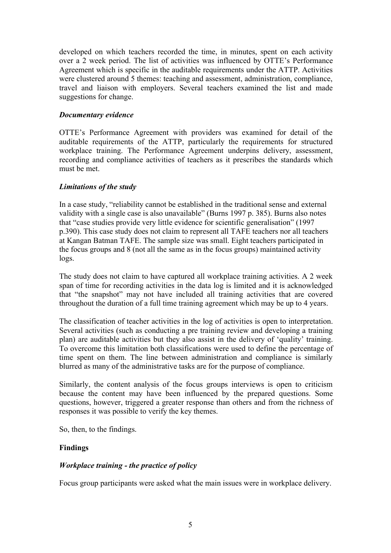developed on which teachers recorded the time, in minutes, spent on each activity over a 2 week period. The list of activities was influenced by OTTE's Performance Agreement which is specific in the auditable requirements under the ATTP. Activities were clustered around 5 themes: teaching and assessment, administration, compliance, travel and liaison with employers. Several teachers examined the list and made suggestions for change.

### *Documentary evidence*

OTTE's Performance Agreement with providers was examined for detail of the auditable requirements of the ATTP, particularly the requirements for structured workplace training. The Performance Agreement underpins delivery, assessment, recording and compliance activities of teachers as it prescribes the standards which must be met.

### *Limitations of the study*

In a case study, "reliability cannot be established in the traditional sense and external validity with a single case is also unavailable" (Burns 1997 p. 385). Burns also notes that "case studies provide very little evidence for scientific generalisation" (1997 p.390). This case study does not claim to represent all TAFE teachers nor all teachers at Kangan Batman TAFE. The sample size was small. Eight teachers participated in the focus groups and 8 (not all the same as in the focus groups) maintained activity logs.

The study does not claim to have captured all workplace training activities. A 2 week span of time for recording activities in the data log is limited and it is acknowledged that "the snapshot" may not have included all training activities that are covered throughout the duration of a full time training agreement which may be up to 4 years.

The classification of teacher activities in the log of activities is open to interpretation. Several activities (such as conducting a pre training review and developing a training plan) are auditable activities but they also assist in the delivery of 'quality' training. To overcome this limitation both classifications were used to define the percentage of time spent on them. The line between administration and compliance is similarly blurred as many of the administrative tasks are for the purpose of compliance.

Similarly, the content analysis of the focus groups interviews is open to criticism because the content may have been influenced by the prepared questions. Some questions, however, triggered a greater response than others and from the richness of responses it was possible to verify the key themes.

So, then, to the findings.

# **Findings**

# *Workplace training - the practice of policy*

Focus group participants were asked what the main issues were in workplace delivery.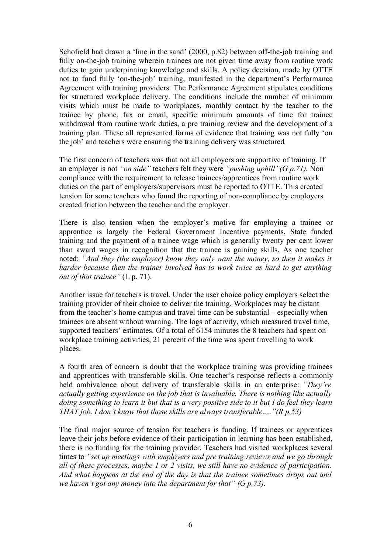Schofield had drawn a 'line in the sand' (2000, p.82) between off-the-job training and fully on-the-job training wherein trainees are not given time away from routine work duties to gain underpinning knowledge and skills. A policy decision, made by OTTE not to fund fully 'on-the-job' training, manifested in the department's Performance Agreement with training providers. The Performance Agreement stipulates conditions for structured workplace delivery. The conditions include the number of minimum visits which must be made to workplaces, monthly contact by the teacher to the trainee by phone, fax or email, specific minimum amounts of time for trainee withdrawal from routine work duties, a pre training review and the development of a training plan. These all represented forms of evidence that training was not fully 'on the job' and teachers were ensuring the training delivery was structured.

The first concern of teachers was that not all employers are supportive of training. If an employer is not *"on side"* teachers felt they were *"pushing uphill"(G p.71).* Non compliance with the requirement to release trainees/apprentices from routine work duties on the part of employers/supervisors must be reported to OTTE. This created tension for some teachers who found the reporting of non-compliance by employers created friction between the teacher and the employer.

There is also tension when the employer's motive for employing a trainee or apprentice is largely the Federal Government Incentive payments, State funded training and the payment of a trainee wage which is generally twenty per cent lower than award wages in recognition that the trainee is gaining skills. As one teacher noted: *"And they (the employer) know they only want the money, so then it makes it harder because then the trainer involved has to work twice as hard to get anything out of that trainee"* (L p. 71).

Another issue for teachers is travel. Under the user choice policy employers select the training provider of their choice to deliver the training. Workplaces may be distant from the teacher's home campus and travel time can be substantial – especially when trainees are absent without warning. The logs of activity, which measured travel time, supported teachers' estimates. Of a total of 6154 minutes the 8 teachers had spent on workplace training activities, 21 percent of the time was spent travelling to work places.

A fourth area of concern is doubt that the workplace training was providing trainees and apprentices with transferable skills. One teacher's response reflects a commonly held ambivalence about delivery of transferable skills in an enterprise: *"They're actually getting experience on the job that is invaluable. There is nothing like actually* doing something to learn it but that is a very positive side to it but I do feel they learn *THAT job. I don't know that those skills are always transferable…."(R p.53)*

The final major source of tension for teachers is funding. If trainees or apprentices leave their jobs before evidence of their participation in learning has been established, there is no funding for the training provider. Teachers had visited workplaces several times to *"set up meetings with employers and pre training reviews and we go through all of these processes, maybe 1 or 2 visits, we still have no evidence of participation. And what happens at the end of the day is that the trainee sometimes drops out and we haven't got any money into the department for that" (G p.73).*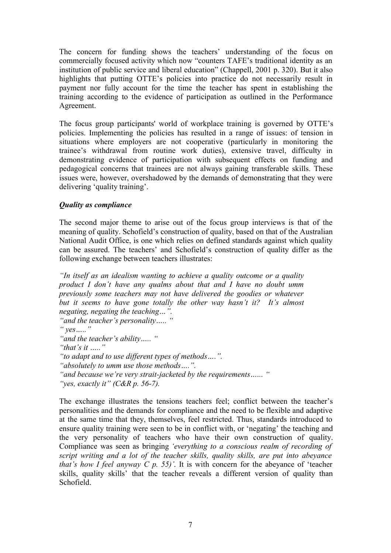The concern for funding shows the teachers' understanding of the focus on commercially focused activity which now "counters TAFE's traditional identity as an institution of public service and liberal education" (Chappell, 2001 p. 320). But it also highlights that putting OTTE's policies into practice do not necessarily result in payment nor fully account for the time the teacher has spent in establishing the training according to the evidence of participation as outlined in the Performance Agreement.

The focus group participants' world of workplace training is governed by OTTE's policies. Implementing the policies has resulted in a range of issues: of tension in situations where employers are not cooperative (particularly in monitoring the trainee's withdrawal from routine work duties), extensive travel, difficulty in demonstrating evidence of participation with subsequent effects on funding and pedagogical concerns that trainees are not always gaining transferable skills. These issues were, however, overshadowed by the demands of demonstrating that they were delivering 'quality training'.

# *Quality as compliance*

The second major theme to arise out of the focus group interviews is that of the meaning of quality. Schofield's construction of quality, based on that of the Australian National Audit Office, is one which relies on defined standards against which quality can be assured. The teachers' and Schofield's construction of quality differ as the following exchange between teachers illustrates:

*"In itself as an idealism wanting to achieve a quality outcome or a quality product I don't have any qualms about that and I have no doubt umm previously some teachers may not have delivered the goodies or whatever but it seems to have gone totally the other way hasn't it? It's almost negating, negating the teaching…". "and the teacher's personality….. " " yes….." "and the teacher's ability….. " "that's it ….." "to adapt and to use different types of methods….". "absolutely to umm use those methods….". "and because we're very strait-jacketed by the requirements…... " "yes, exactly it" (C&R p. 56-7).*

The exchange illustrates the tensions teachers feel; conflict between the teacher's personalities and the demands for compliance and the need to be flexible and adaptive at the same time that they, themselves, feel restricted. Thus, standards introduced to ensure quality training were seen to be in conflict with, or 'negating' the teaching and the very personality of teachers who have their own construction of quality. Compliance was seen as bringing *'everything to a conscious realm of recording of script writing and a lot of the teacher skills, quality skills, are put into abeyance that's how I feel anyway C p.* 55)'. It is with concern for the abeyance of 'teacher' skills, quality skills' that the teacher reveals a different version of quality than Schofield.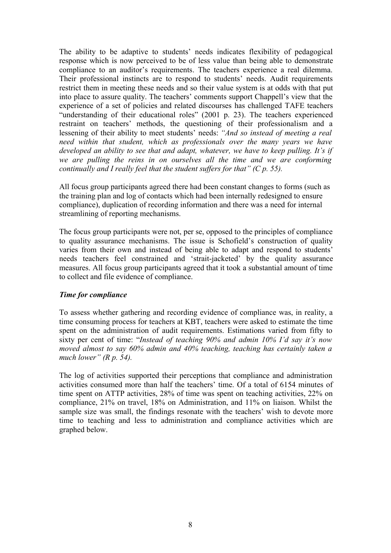The ability to be adaptive to students' needs indicates flexibility of pedagogical response which is now perceived to be of less value than being able to demonstrate compliance to an auditor's requirements. The teachers experience a real dilemma. Their professional instincts are to respond to students' needs. Audit requirements restrict them in meeting these needs and so their value system is at odds with that put into place to assure quality. The teachers' comments support Chappell's view that the experience of a set of policies and related discourses has challenged TAFE teachers "understanding of their educational roles" (2001 p. 23). The teachers experienced restraint on teachers' methods, the questioning of their professionalism and a lessening of their ability to meet students' needs: *"And so instead of meeting a real need within that student, which as professionals over the many years we have developed an ability to see that and adapt, whatever, we have to keep pulling. It's if we are pulling the reins in on ourselves all the time and we are conforming continually and I really feel that the student suffers for that" (C p. 55).*

All focus group participants agreed there had been constant changes to forms (such as the training plan and log of contacts which had been internally redesigned to ensure compliance), duplication of recording information and there was a need for internal streamlining of reporting mechanisms.

The focus group participants were not, per se, opposed to the principles of compliance to quality assurance mechanisms. The issue is Schofield's construction of quality varies from their own and instead of being able to adapt and respond to students' needs teachers feel constrained and 'strait-jacketed' by the quality assurance measures. All focus group participants agreed that it took a substantial amount of time to collect and file evidence of compliance.

#### *Time for compliance*

To assess whether gathering and recording evidence of compliance was, in reality, a time consuming process for teachers at KBT, teachers were asked to estimate the time spent on the administration of audit requirements. Estimations varied from fifty to sixty per cent of time: "*Instead of teaching 90% and admin 10% I'd say it's now moved almost to say 60% admin and 40% teaching, teaching has certainly taken a much lower" (R p. 54).*

The log of activities supported their perceptions that compliance and administration activities consumed more than half the teachers' time. Of a total of 6154 minutes of time spent on ATTP activities, 28% of time was spent on teaching activities, 22% on compliance, 21% on travel, 18% on Administration, and 11% on liaison. Whilst the sample size was small, the findings resonate with the teachers' wish to devote more time to teaching and less to administration and compliance activities which are graphed below.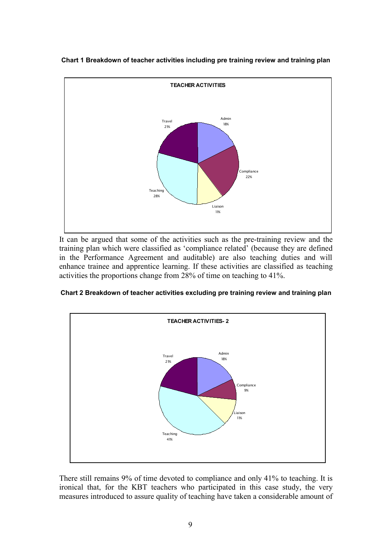

**Chart 1 Breakdown of teacher activities including pre training review and training plan**

It can be argued that some of the activities such as the pre-training review and the training plan which were classified as 'compliance related' (because they are defined in the Performance Agreement and auditable) are also teaching duties and will enhance trainee and apprentice learning. If these activities are classified as teaching activities the proportions change from 28% of time on teaching to 41%.





There still remains 9% of time devoted to compliance and only 41% to teaching. It is ironical that, for the KBT teachers who participated in this case study, the very measures introduced to assure quality of teaching have taken a considerable amount of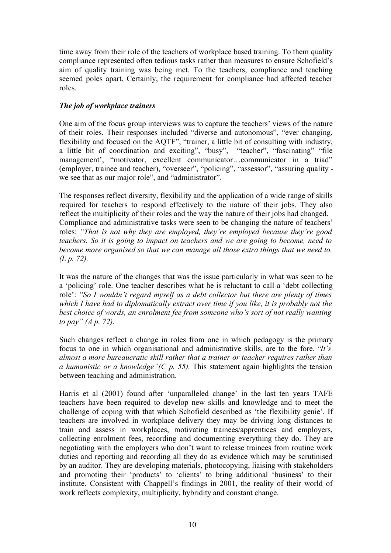time away from their role of the teachers of workplace based training. To them quality compliance represented often tedious tasks rather than measures to ensure Schofield's aim of quality training was being met. To the teachers, compliance and teaching seemed poles apart. Certainly, the requirement for compliance had affected teacher roles.

# *The job of workplace trainers*

One aim of the focus group interviews was to capture the teachers' views of the nature of their roles. Their responses included "diverse and autonomous", "ever changing, flexibility and focused on the AQTF", "trainer, a little bit of consulting with industry, a little bit of coordination and exciting", "busy", "teacher", "fascinating" "file management', "motivator, excellent communicator…communicator in a triad" (employer, trainee and teacher), "overseer", "policing", "assessor", "assuring quality we see that as our major role", and "administrator".

The responses reflect diversity, flexibility and the application of a wide range of skills required for teachers to respond effectively to the nature of their jobs. They also reflect the multiplicity of their roles and the way the nature of their jobs had changed. Compliance and administrative tasks were seen to be changing the nature of teachers' roles: *"That is not why they are employed, they're employed because they're good teachers. So it is going to impact on teachers and we are going to become, need to become more organised so that we can manage all those extra things that we need to. (L p. 72).*

It was the nature of the changes that was the issue particularly in what was seen to be a 'policing' role. One teacher describes what he is reluctant to call a 'debt collecting role': *"So I wouldn't regard myself as a debt collector but there are plenty of times which I have had to diplomatically extract over time if you like, it is probably not the best choice of words, an enrolment fee from someone who's sort of not really wanting to pay" (A p. 72).*

Such changes reflect a change in roles from one in which pedagogy is the primary focus to one in which organisational and administrative skills, are to the fore. "*It's almost a more bureaucratic skill rather that a trainer or teacher requires rather than a humanistic or a knowledge"(C p. 55).* This statement again highlights the tension between teaching and administration.

Harris et al (2001) found after 'unparalleled change' in the last ten years TAFE teachers have been required to develop new skills and knowledge and to meet the challenge of coping with that which Schofield described as 'the flexibility genie'. If teachers are involved in workplace delivery they may be driving long distances to train and assess in workplaces, motivating trainees/apprentices and employers, collecting enrolment fees, recording and documenting everything they do. They are negotiating with the employers who don't want to release trainees from routine work duties and reporting and recording all they do as evidence which may be scrutinised by an auditor. They are developing materials, photocopying, liaising with stakeholders and promoting their 'products' to 'clients' to bring additional 'business' to their institute. Consistent with Chappell's findings in 2001, the reality of their world of work reflects complexity, multiplicity, hybridity and constant change.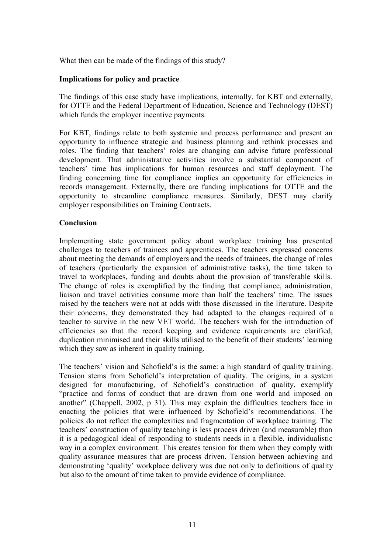What then can be made of the findings of this study?

#### **Implications for policy and practice**

The findings of this case study have implications, internally, for KBT and externally, for OTTE and the Federal Department of Education, Science and Technology (DEST) which funds the employer incentive payments.

For KBT, findings relate to both systemic and process performance and present an opportunity to influence strategic and business planning and rethink processes and roles. The finding that teachers' roles are changing can advise future professional development. That administrative activities involve a substantial component of teachers' time has implications for human resources and staff deployment. The finding concerning time for compliance implies an opportunity for efficiencies in records management. Externally, there are funding implications for OTTE and the opportunity to streamline compliance measures. Similarly, DEST may clarify employer responsibilities on Training Contracts.

#### **Conclusion**

Implementing state government policy about workplace training has presented challenges to teachers of trainees and apprentices. The teachers expressed concerns about meeting the demands of employers and the needs of trainees, the change of roles of teachers (particularly the expansion of administrative tasks), the time taken to travel to workplaces, funding and doubts about the provision of transferable skills. The change of roles is exemplified by the finding that compliance, administration, liaison and travel activities consume more than half the teachers' time. The issues raised by the teachers were not at odds with those discussed in the literature. Despite their concerns, they demonstrated they had adapted to the changes required of a teacher to survive in the new VET world. The teachers wish for the introduction of efficiencies so that the record keeping and evidence requirements are clarified, duplication minimised and their skills utilised to the benefit of their students' learning which they saw as inherent in quality training.

The teachers' vision and Schofield's is the same: a high standard of quality training. Tension stems from Schofield's interpretation of quality. The origins, in a system designed for manufacturing, of Schofield's construction of quality, exemplify "practice and forms of conduct that are drawn from one world and imposed on another" (Chappell, 2002, p 31). This may explain the difficulties teachers face in enacting the policies that were influenced by Schofield's recommendations. The policies do not reflect the complexities and fragmentation of workplace training. The teachers' construction of quality teaching is less process driven (and measurable) than it is a pedagogical ideal of responding to students needs in a flexible, individualistic way in a complex environment. This creates tension for them when they comply with quality assurance measures that are process driven. Tension between achieving and demonstrating 'quality' workplace delivery was due not only to definitions of quality but also to the amount of time taken to provide evidence of compliance.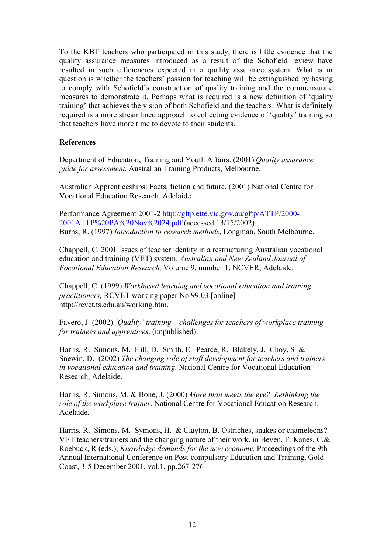To the KBT teachers who participated in this study, there is little evidence that the quality assurance measures introduced as a result of the Schofield review have resulted in such efficiencies expected in a quality assurance system. What is in question is whether the teachers' passion for teaching will be extinguished by having to comply with Schofield's construction of quality training and the commensurate measures to demonstrate it. Perhaps what is required is a new definition of 'quality training' that achieves the vision of both Schofield and the teachers. What is definitely required is a more streamlined approach to collecting evidence of 'quality' training so that teachers have more time to devote to their students.

### **References**

Department of Education, Training and Youth Affairs. (2001) *Quality assurance guide for assessment*. Australian Training Products, Melbourne.

Australian Apprenticeships: Facts, fiction and future. (2001) National Centre for Vocational Education Research. Adelaide.

Performance Agreement 2001-2 http://gftp.ette.vic.gov.au/gftp/ATTP/2000- 2001ATTP%20PA%20Nov%2024.pdf (accessed 13/15/2002). Burns, R. (1997) *Introduction to research methods*, Longman, South Melbourne.

Chappell, C. 2001 Issues of teacher identity in a restructuring Australian vocational education and training (VET) system. *Australian and New Zealand Journal of Vocational Education Research,* Volume 9, number 1, NCVER, Adelaide.

Chappell, C. (1999) *Workbased learning and vocational education and training practitioners,* RCVET working paper No 99.03 [online] http://rcvet.ts.edu.au/working.htm.

Favero, J. (2002) *'Quality' training – challenges for teachers of workplace training for trainees and apprentices*. (unpublished).

Harris, R. Simons, M. Hill, D. Smith, E. Pearce, R. Blakely, J. Choy, S & Snewin, D. (2002) *The changing role of staff development for teachers and trainers in vocational education and training*. National Centre for Vocational Education Research, Adelaide.

Harris, R. Simons, M. & Bone, J. (2000) *More than meets the eye? Rethinking the role of the workplace trainer*. National Centre for Vocational Education Research, Adelaide.

Harris, R. Simons, M. Symons, H. & Clayton, B. Ostriches, snakes or chameleons? VET teachers/trainers and the changing nature of their work. in Beven, F. Kanes, C.& Roebuck, R (eds.), *Knowledge demands for the new economy,* Proceedings of the 9th Annual International Conference on Post-compulsory Education and Training, Gold Coast, 3-5 December 2001, vol.1, pp.267-276